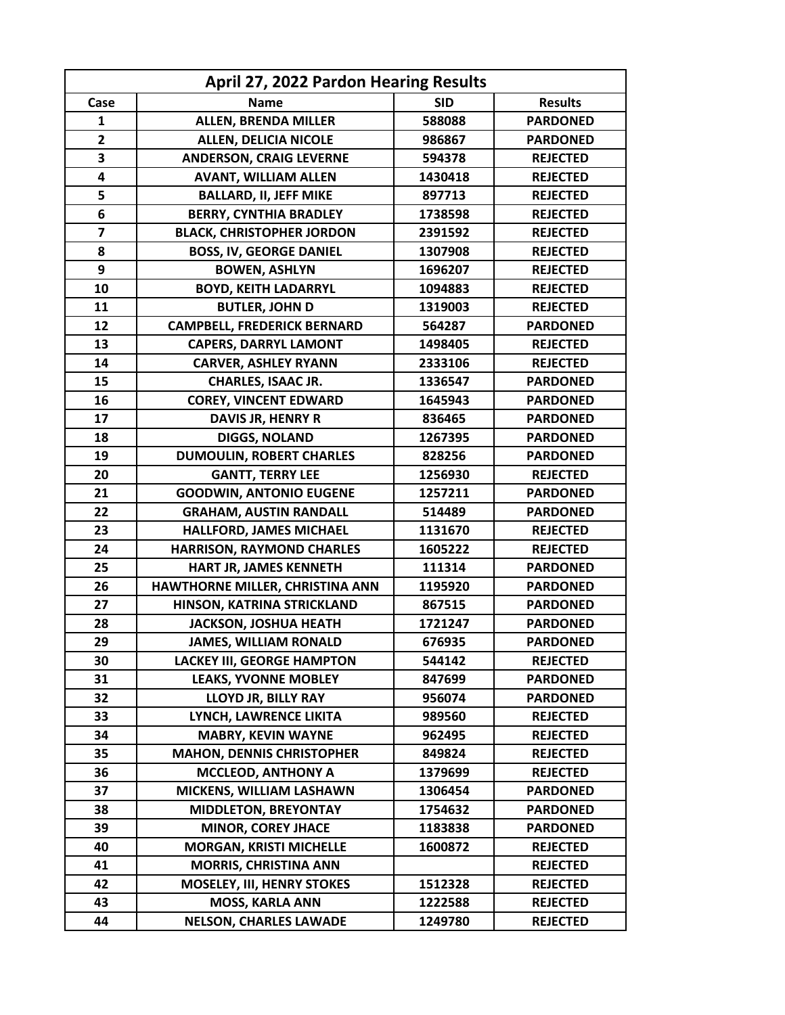| April 27, 2022 Pardon Hearing Results |                                    |            |                 |  |
|---------------------------------------|------------------------------------|------------|-----------------|--|
| Case                                  | <b>Name</b>                        | <b>SID</b> | <b>Results</b>  |  |
| $\mathbf{1}$                          | <b>ALLEN, BRENDA MILLER</b>        | 588088     | <b>PARDONED</b> |  |
| $\overline{2}$                        | <b>ALLEN, DELICIA NICOLE</b>       | 986867     | <b>PARDONED</b> |  |
| 3                                     | <b>ANDERSON, CRAIG LEVERNE</b>     | 594378     | <b>REJECTED</b> |  |
| $\overline{\mathbf{4}}$               | <b>AVANT, WILLIAM ALLEN</b>        | 1430418    | <b>REJECTED</b> |  |
| 5                                     | <b>BALLARD, II, JEFF MIKE</b>      | 897713     | <b>REJECTED</b> |  |
| 6                                     | <b>BERRY, CYNTHIA BRADLEY</b>      | 1738598    | <b>REJECTED</b> |  |
| $\overline{\mathbf{z}}$               | <b>BLACK, CHRISTOPHER JORDON</b>   | 2391592    | <b>REJECTED</b> |  |
| 8                                     | <b>BOSS, IV, GEORGE DANIEL</b>     | 1307908    | <b>REJECTED</b> |  |
| 9                                     | <b>BOWEN, ASHLYN</b>               | 1696207    | <b>REJECTED</b> |  |
| 10                                    | <b>BOYD, KEITH LADARRYL</b>        | 1094883    | <b>REJECTED</b> |  |
| 11                                    | <b>BUTLER, JOHN D</b>              | 1319003    | <b>REJECTED</b> |  |
| 12                                    | <b>CAMPBELL, FREDERICK BERNARD</b> | 564287     | <b>PARDONED</b> |  |
| 13                                    | <b>CAPERS, DARRYL LAMONT</b>       | 1498405    | <b>REJECTED</b> |  |
| 14                                    | <b>CARVER, ASHLEY RYANN</b>        | 2333106    | <b>REJECTED</b> |  |
| 15                                    | <b>CHARLES, ISAAC JR.</b>          | 1336547    | <b>PARDONED</b> |  |
| 16                                    | <b>COREY, VINCENT EDWARD</b>       | 1645943    | <b>PARDONED</b> |  |
| 17                                    | DAVIS JR, HENRY R                  | 836465     | <b>PARDONED</b> |  |
| 18                                    | <b>DIGGS, NOLAND</b>               | 1267395    | <b>PARDONED</b> |  |
| 19                                    | <b>DUMOULIN, ROBERT CHARLES</b>    | 828256     | <b>PARDONED</b> |  |
| 20                                    | <b>GANTT, TERRY LEE</b>            | 1256930    | <b>REJECTED</b> |  |
| 21                                    | <b>GOODWIN, ANTONIO EUGENE</b>     | 1257211    | <b>PARDONED</b> |  |
| 22                                    | <b>GRAHAM, AUSTIN RANDALL</b>      | 514489     | <b>PARDONED</b> |  |
| 23                                    | <b>HALLFORD, JAMES MICHAEL</b>     | 1131670    | <b>REJECTED</b> |  |
| 24                                    | <b>HARRISON, RAYMOND CHARLES</b>   | 1605222    | <b>REJECTED</b> |  |
| 25                                    | HART JR, JAMES KENNETH             | 111314     | <b>PARDONED</b> |  |
| 26                                    | HAWTHORNE MILLER, CHRISTINA ANN    | 1195920    | <b>PARDONED</b> |  |
| 27                                    | HINSON, KATRINA STRICKLAND         | 867515     | <b>PARDONED</b> |  |
| 28                                    | <b>JACKSON, JOSHUA HEATH</b>       | 1721247    | <b>PARDONED</b> |  |
| 29                                    | <b>JAMES, WILLIAM RONALD</b>       | 676935     | <b>PARDONED</b> |  |
| 30                                    | <b>LACKEY III, GEORGE HAMPTON</b>  | 544142     | <b>REJECTED</b> |  |
| 31                                    | <b>LEAKS, YVONNE MOBLEY</b>        | 847699     | <b>PARDONED</b> |  |
| 32                                    | LLOYD JR, BILLY RAY                | 956074     | <b>PARDONED</b> |  |
| 33                                    | LYNCH, LAWRENCE LIKITA             | 989560     | <b>REJECTED</b> |  |
| 34                                    | <b>MABRY, KEVIN WAYNE</b>          | 962495     | <b>REJECTED</b> |  |
| 35                                    | <b>MAHON, DENNIS CHRISTOPHER</b>   | 849824     | <b>REJECTED</b> |  |
| 36                                    | <b>MCCLEOD, ANTHONY A</b>          | 1379699    | <b>REJECTED</b> |  |
| 37                                    | MICKENS, WILLIAM LASHAWN           | 1306454    | <b>PARDONED</b> |  |
| 38                                    | <b>MIDDLETON, BREYONTAY</b>        | 1754632    | <b>PARDONED</b> |  |
| 39                                    | <b>MINOR, COREY JHACE</b>          | 1183838    | <b>PARDONED</b> |  |
| 40                                    | <b>MORGAN, KRISTI MICHELLE</b>     | 1600872    | <b>REJECTED</b> |  |
| 41                                    | <b>MORRIS, CHRISTINA ANN</b>       |            | <b>REJECTED</b> |  |
| 42                                    | <b>MOSELEY, III, HENRY STOKES</b>  | 1512328    | <b>REJECTED</b> |  |
| 43                                    | <b>MOSS, KARLA ANN</b>             | 1222588    | <b>REJECTED</b> |  |
| 44                                    | <b>NELSON, CHARLES LAWADE</b>      | 1249780    | <b>REJECTED</b> |  |